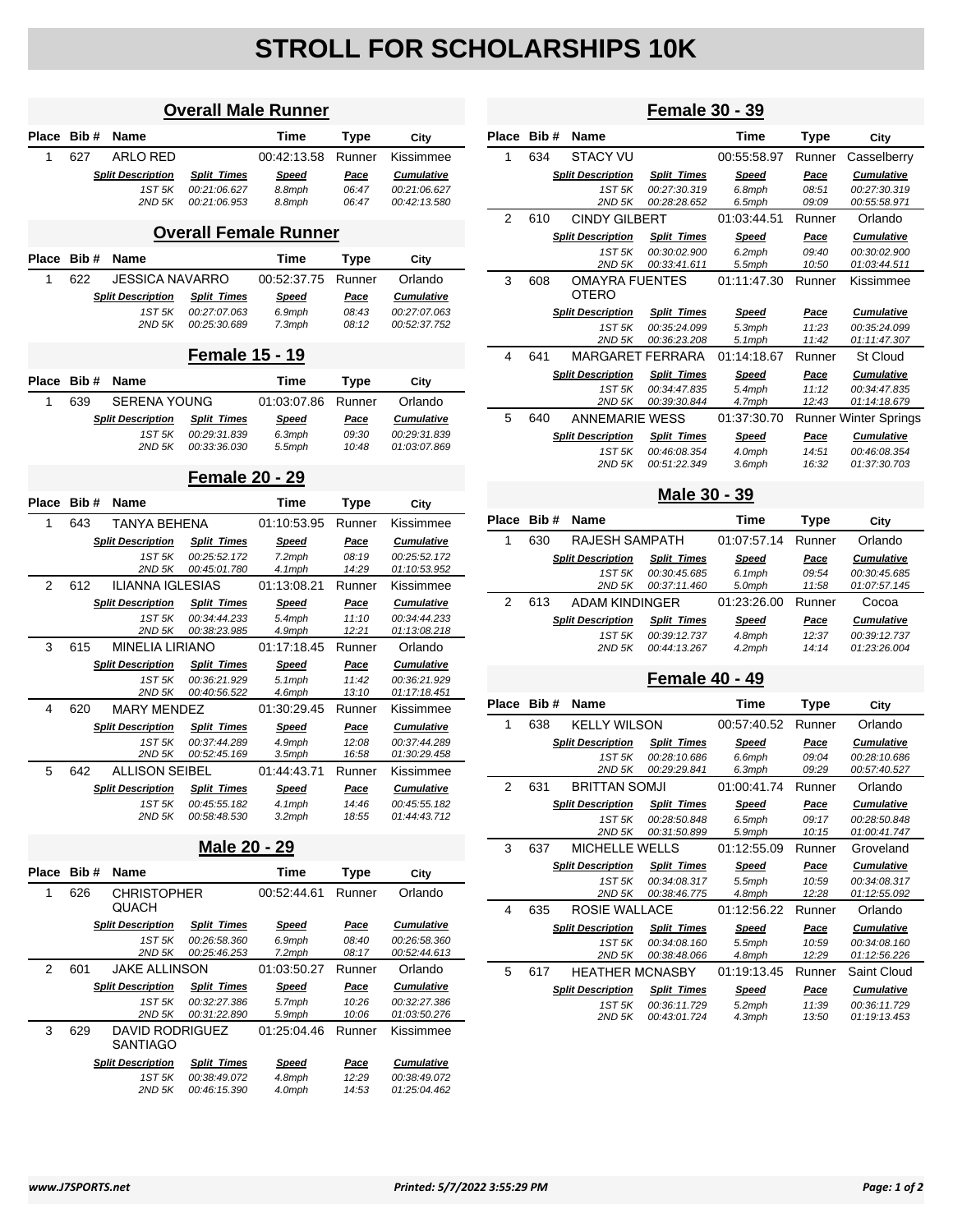## **STROLL FOR SCHOLARSHIPS 10K**

| <b>Overall Male Runner</b> |                                                                                                    |                                                |                                    |                              |                 |                                   |  |
|----------------------------|----------------------------------------------------------------------------------------------------|------------------------------------------------|------------------------------------|------------------------------|-----------------|-----------------------------------|--|
| Place                      | Bib#                                                                                               | Name                                           |                                    | Time                         | <b>Type</b>     | City                              |  |
| 1                          | 627                                                                                                | ARLO RED                                       |                                    | 00:42:13.58                  | Runner          | Kissimmee                         |  |
|                            |                                                                                                    | <b>Split Description</b>                       | <b>Split Times</b>                 | <b>Speed</b>                 | <b>Pace</b>     | <b>Cumulative</b>                 |  |
|                            |                                                                                                    | 1ST 5K<br>2ND 5K                               | 00:21:06.627<br>00:21:06.953       | 8.8mph<br>8.8mph             | 06:47<br>06:47  | 00:21:06.627<br>00:42:13.580      |  |
|                            |                                                                                                    |                                                |                                    |                              |                 |                                   |  |
|                            |                                                                                                    |                                                |                                    | <b>Overall Female Runner</b> |                 |                                   |  |
| Place                      | Bib#                                                                                               | Name                                           |                                    | Time                         | Type            | City                              |  |
| 1                          | 622                                                                                                | <b>JESSICA NAVARRO</b>                         |                                    | 00:52:37.75                  | Runner          | Orlando                           |  |
|                            |                                                                                                    | <b>Split Description</b>                       | <b>Split Times</b>                 | <u>Speed</u>                 | Pace            | <b>Cumulative</b>                 |  |
|                            |                                                                                                    | 1ST 5K<br>2ND 5K                               | 00:27:07.063<br>00:25:30.689       | 6.9mph<br>7.3mph             | 08:43<br>08:12  | 00:27:07.063<br>00:52:37.752      |  |
|                            |                                                                                                    |                                                |                                    |                              |                 |                                   |  |
|                            |                                                                                                    |                                                | <b>Female 15 - 19</b>              |                              |                 |                                   |  |
| Place                      | Bib#                                                                                               | <b>Name</b>                                    |                                    | Time                         | Type            | City                              |  |
| 1                          | 639                                                                                                | SERENA YOUNG                                   |                                    | 01:03:07.86                  | Runner          | Orlando                           |  |
|                            |                                                                                                    | <b>Split Description</b>                       | <b>Split Times</b>                 | <u>Speed</u>                 | <u>Pace</u>     | <b>Cumulative</b>                 |  |
|                            |                                                                                                    | 1ST <sub>5</sub> K<br>2ND 5K                   | 00:29:31.839<br>00:33:36.030       | 6.3mph<br>5.5mph             | 09:30<br>10:48  | 00:29:31.839<br>01:03:07.869      |  |
|                            |                                                                                                    |                                                |                                    |                              |                 |                                   |  |
|                            |                                                                                                    |                                                | <b>Female 20 - 29</b>              |                              |                 |                                   |  |
| <b>Place</b>               | Bib#                                                                                               | <b>Name</b>                                    |                                    | Time                         | Type            | City                              |  |
| 1                          | 643                                                                                                | TANYA BEHENA                                   |                                    | 01:10:53.95                  | Runner          | Kissimmee                         |  |
|                            |                                                                                                    | <b>Split Description</b><br>1ST <sub>5</sub> K | <b>Split Times</b><br>00:25:52.172 | Speed                        | Pace            | <b>Cumulative</b><br>00:25:52.172 |  |
|                            |                                                                                                    | 2ND 5K                                         | 00:45:01.780                       | 7.2mph<br>4.1mph             | 08:19<br>14:29  | 01:10:53.952                      |  |
| $\overline{2}$             | 612                                                                                                | <b>ILIANNA IGLESIAS</b>                        |                                    | 01:13:08.21                  | Runner          | Kissimmee                         |  |
|                            |                                                                                                    | <b>Split Description</b>                       | <b>Split Times</b>                 | Speed                        | Pace            | <b>Cumulative</b>                 |  |
|                            |                                                                                                    | 1ST 5K                                         | 00:34:44.233                       | 5.4mph                       | 11:10           | 00:34:44.233                      |  |
| 3                          | 615                                                                                                | 2ND 5K<br><b>MINELIA LIRIANO</b>               | 00:38:23.985                       | 4.9mph<br>01:17:18.45        | 12:21<br>Runner | 01:13:08.218<br>Orlando           |  |
|                            |                                                                                                    | <b>Split Description</b>                       | <b>Split Times</b>                 | <u>Speed</u>                 | Pace            | <b>Cumulative</b>                 |  |
|                            |                                                                                                    | 1ST 5K                                         | 00:36:21.929                       | 5.1mph                       | 11:42           | 00:36:21.929                      |  |
|                            |                                                                                                    | 2ND 5K                                         | 00:40:56.522                       | 4.6mph                       | 13:10           | 01:17:18.451                      |  |
| 4                          | 620                                                                                                | <b>MARY MENDEZ</b>                             |                                    | 01:30:29.45                  | Runner          | Kissimmee                         |  |
|                            |                                                                                                    | <b>Split Description</b><br>1ST <sub>5</sub> K | <b>Split Times</b><br>00:37:44.289 | Speed<br>4.9mph              | Pace<br>12:08   | <b>Cumulative</b><br>00:37:44.289 |  |
|                            |                                                                                                    | 2ND 5K                                         | 00:52:45.169                       | 3.5mph                       | 16:58           | 01:30:29.458                      |  |
| 5                          | 642                                                                                                | <b>ALLISON SEIBEL</b>                          |                                    | 01:44:43.71                  | Runner          | Kissimmee                         |  |
|                            |                                                                                                    | <b>Split Description</b>                       | <b>Split Times</b>                 | <u>Speed</u>                 | Pace            | <b>Cumulative</b>                 |  |
|                            |                                                                                                    | 1ST 5K<br>2ND 5K                               | 00:45:55.182<br>00:58:48.530       | 4.1mph<br>$3.2$ mph          | 14:46<br>18:55  | 00:45:55.182<br>01:44:43.712      |  |
|                            |                                                                                                    |                                                |                                    |                              |                 |                                   |  |
|                            | Male 20 - 29                                                                                       |                                                |                                    |                              |                 |                                   |  |
| Place                      | Bib#                                                                                               | Name                                           |                                    | Time                         | Type            | City                              |  |
| 1                          | 626                                                                                                | <b>CHRISTOPHER</b><br>QUACH                    |                                    | 00:52:44.61                  | Runner          | Orlando                           |  |
|                            |                                                                                                    | <b>Split Description</b>                       | <b>Split Times</b>                 | <b>Speed</b>                 | <u>Pace</u>     | <b>Cumulative</b>                 |  |
|                            |                                                                                                    | 1ST 5K<br>2ND 5K                               | 00:26:58.360<br>00:25:46.253       | 6.9mph<br>7.2mph             | 08:40<br>08:17  | 00:26:58.360<br>00:52:44.613      |  |
| 2                          | 601                                                                                                | JAKE ALLINSON                                  |                                    | 01:03:50.27                  | Runner          | Orlando                           |  |
|                            | <b>Split Description</b><br><b>Speed</b><br><b>Cumulative</b><br><b>Split Times</b><br><u>Pace</u> |                                                |                                    |                              |                 |                                   |  |
|                            |                                                                                                    | 1ST 5K                                         | 00:32:27.386                       | 5.7mph                       | 10:26           | 00:32:27.386                      |  |
|                            |                                                                                                    | 2ND 5K                                         | 00:31:22.890                       | 5.9mph                       | 10:06           | 01:03:50.276                      |  |
| 3                          | 629                                                                                                | <b>DAVID RODRIGUEZ</b><br>SANTIAGO             |                                    | 01:25:04.46                  | Runner          | Kissimmee                         |  |
|                            |                                                                                                    | <b>Split Description</b>                       | <b>Split Times</b>                 | <b>Speed</b>                 | <u>Pace</u>     | <b>Cumulative</b>                 |  |
|                            |                                                                                                    | 1ST 5K<br>$2ND$ 5K                             | 00:38:49.072<br>00:46:15.390       | 4.8mph<br>4.0mph             | 12:29<br>14:53  | 00:38:49.072<br>01:25:04.462      |  |
|                            |                                                                                                    |                                                |                                    |                              |                 |                                   |  |

| <b>Female 30 - 39</b> |                                              |                                |                              |                     |                |                              |  |
|-----------------------|----------------------------------------------|--------------------------------|------------------------------|---------------------|----------------|------------------------------|--|
| Place                 | Bib #                                        | <b>Name</b>                    |                              | Time                | <b>Type</b>    | City                         |  |
| 1                     | 634                                          | STACY VU                       |                              | 00.55.58.97         | Runner         | Casselberry                  |  |
|                       |                                              | <b>Split Description</b>       | <b>Split Times</b>           | Speed               | Pace           | <b>Cumulative</b>            |  |
|                       |                                              | 1ST <sub>5</sub> K<br>2ND 5K   | 00:27:30.319<br>00:28:28.652 | 6.8mph<br>6.5mph    | 08:51<br>09:09 | 00:27:30.319<br>00:55:58.971 |  |
| 2                     | 610                                          | <b>CINDY GILBERT</b>           |                              | 01:03:44.51         | Runner         | Orlando                      |  |
|                       |                                              | <b>Split Description</b>       | <b>Split Times</b>           | <b>Speed</b>        | Pace           | <b>Cumulative</b>            |  |
|                       |                                              | 1ST 5K<br>2ND 5K               | 00:30:02.900<br>00:33:41.611 | 6.2mph<br>5.5mph    | 09:40<br>10:50 | 00:30:02.900<br>01:03:44.511 |  |
| 3                     | 608<br><b>OMAYRA FUENTES</b><br><b>OTERO</b> |                                |                              | 01:11:47.30         | Runner         | Kissimmee                    |  |
|                       |                                              | <b>Split Description</b>       | <b>Split Times</b>           | Speed               | Pace           | <b>Cumulative</b>            |  |
|                       |                                              | 1ST <sub>5</sub> K<br>$2ND$ 5K | 00:35:24.099<br>00:36:23.208 | 5.3mph<br>$5.1$ mph | 11:23<br>11:42 | 00:35:24.099<br>01:11:47.307 |  |
| 4                     | 641                                          | <b>MARGARET FERRARA</b>        |                              | 01:14:18.67         | Runner         | <b>St Cloud</b>              |  |
|                       |                                              | <b>Split Description</b>       | <b>Split Times</b>           | Speed               | Pace           | <b>Cumulative</b>            |  |
|                       |                                              | 1ST <sub>5</sub> K<br>$2ND$ 5K | 00:34:47.835<br>00:39:30.844 | 5.4mph<br>4.7mph    | 11:12<br>12:43 | 00:34:47.835<br>01:14:18.679 |  |
| 5                     | 640                                          | ANNEMARIE WESS                 |                              | 01:37:30.70         |                | <b>Runner Winter Springs</b> |  |
|                       |                                              | <b>Split Description</b>       | <b>Split Times</b>           | Speed               | Pace           | <b>Cumulative</b>            |  |
|                       |                                              | 1ST <sub>5</sub> K<br>$2ND$ 5K | 00:46:08.354<br>00:51:22.349 | 4.0mph<br>$3.6$ mph | 14:51<br>16:32 | 00:46:08.354<br>01:37:30.703 |  |

## **Male 30 - 39**

| Place | Bib# | <b>Name</b>              |                              | Time                | Type           | City                         |
|-------|------|--------------------------|------------------------------|---------------------|----------------|------------------------------|
| 1     | 630  | <b>RAJESH SAMPATH</b>    |                              | 01:07:57.14         | Runner         | Orlando                      |
|       |      | <b>Split Description</b> | <b>Split Times</b>           | Speed               | Pace           | <b>Cumulative</b>            |
|       |      | 1ST 5K<br>2ND 5K         | 00:30:45.685<br>00:37:11.460 | $6.1$ mph<br>5.0mph | 09:54<br>11:58 | 00:30:45.685<br>01:07:57.145 |
| 2     | 613  | ADAM KINDINGER           |                              | 01:23:26.00         | Runner         | Cocoa                        |
|       |      | <b>Split Description</b> | <b>Split Times</b>           | Speed               | Pace           | <b>Cumulative</b>            |
|       |      | 1ST 5K<br>$2ND$ 5K       | 00:39:12.737<br>00:44:13.267 | 4.8mph<br>$4.2$ mph | 12:37<br>14:14 | 00:39:12.737<br>01:23:26.004 |

## **Female 40 - 49**

| Place | Bib # | Name                        |                              | Time             | Type           | City                         |
|-------|-------|-----------------------------|------------------------------|------------------|----------------|------------------------------|
| 1     | 638   | <b>KELLY WILSON</b>         |                              | 00:57:40.52      | Runner         | Orlando                      |
|       |       | <b>Split Description</b>    | <b>Split Times</b>           | Speed            | Pace           | <b>Cumulative</b>            |
|       |       | 1ST <sub>5K</sub><br>2ND 5K | 00:28:10.686<br>00:29:29.841 | 6.6mph<br>6.3mph | 09:04<br>09:29 | 00:28:10.686<br>00:57:40.527 |
| 2     | 631   | <b>BRITTAN SOMJI</b>        |                              | 01:00:41.74      | Runner         | Orlando                      |
|       |       | <b>Split Description</b>    | <b>Split Times</b>           | <b>Speed</b>     | Pace           | <b>Cumulative</b>            |
|       |       | 1ST 5K<br>2ND 5K            | 00:28:50.848<br>00:31:50.899 | 6.5mph<br>5.9mph | 09:17<br>10:15 | 00:28:50.848<br>01:00:41.747 |
| 3     | 637   | <b>MICHELLE WELLS</b>       |                              | 01:12:55.09      | Runner         | Groveland                    |
|       |       | <b>Split Description</b>    | <b>Split Times</b>           | <b>Speed</b>     | Pace           | <b>Cumulative</b>            |
|       |       | 1ST 5K                      | 00:34:08.317                 | 5.5mph           | 10:59          | 00:34:08.317                 |
|       |       | $2ND$ 5K                    | 00:38:46.775                 | 4.8mph           | 12:28          | 01:12:55.092                 |
| 4     | 635   | <b>ROSIE WALLACE</b>        |                              | 01:12:56.22      | Runner         | Orlando                      |
|       |       | <b>Split Description</b>    | <b>Split Times</b>           | <b>Speed</b>     | Pace           | <b>Cumulative</b>            |
|       |       | 1ST 5K                      | 00:34:08.160                 | 5.5mph           | 10:59          | 00:34:08.160                 |
|       |       | 2ND 5K                      | 00:38:48.066                 | 4.8mph           | 12:29          | 01:12:56.226                 |
| 5     | 617   | <b>HEATHER MCNASBY</b>      |                              | 01:19:13.45      | Runner         | Saint Cloud                  |
|       |       | <b>Split Description</b>    | <b>Split Times</b>           | <b>Speed</b>     | Pace           | <b>Cumulative</b>            |
|       |       | 1ST <sub>5K</sub>           | 00:36:11.729                 | 5.2mph           | 11:39          | 00:36:11.729                 |
|       |       | 2ND 5K                      | 00:43:01.724                 | 4.3mph           | 13:50          | 01:19:13.453                 |